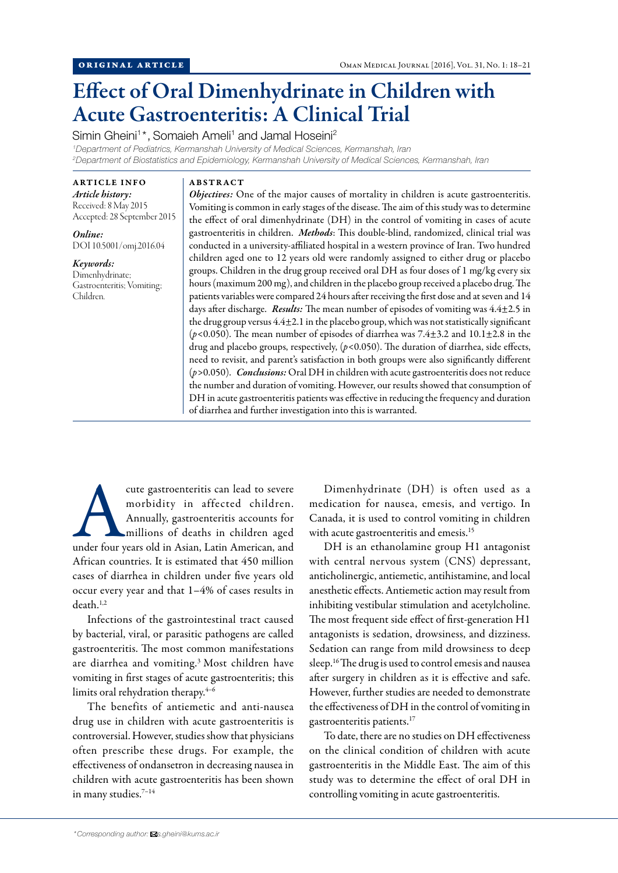# Effect of Oral Dimenhydrinate in Children with Acute Gastroenteritis: A Clinical Trial

Simin Gheini<sup>1\*</sup>, Somaieh Ameli<sup>1</sup> and Jamal Hoseini<sup>2</sup>

*1 Department of Pediatrics, Kermanshah University of Medical Sciences, Kermanshah, Iran 2 Department of Biostatistics and Epidemiology, Kermanshah University of Medical Sciences, Kermanshah, Iran*

ARTICLE INFO *Article history:* Received: 8 May 2015 Accepted: 28 September 2015

*Online:* DOI 10.5001/omj.2016.04

*Keywords:* Dimenhydrinate; Gastroenteritis; Vomiting; Children.

## ABSTRACT

*Objectives:* One of the major causes of mortality in children is acute gastroenteritis. Vomiting is common in early stages of the disease. The aim of this study was to determine the effect of oral dimenhydrinate (DH) in the control of vomiting in cases of acute gastroenteritis in children. *Methods*: This double-blind, randomized, clinical trial was conducted in a university-affiliated hospital in a western province of Iran. Two hundred children aged one to 12 years old were randomly assigned to either drug or placebo groups. Children in the drug group received oral DH as four doses of 1 mg/kg every six hours (maximum 200 mg), and children in the placebo group received a placebo drug. The patients variables were compared 24 hours after receiving the first dose and at seven and 14 days after discharge. *Results:* The mean number of episodes of vomiting was 4.4±2.5 in the drug group versus 4.4±2.1 in the placebo group, which was not statistically significant (*p<*0.050). The mean number of episodes of diarrhea was 7.4±3.2 and 10.1±2.8 in the drug and placebo groups, respectively, (*p<*0.050). The duration of diarrhea, side effects, need to revisit, and parent's satisfaction in both groups were also significantly different (*p>*0.050). *Conclusions:* Oral DH in children with acute gastroenteritis does not reduce the number and duration of vomiting. However, our results showed that consumption of DH in acute gastroenteritis patients was effective in reducing the frequency and duration of diarrhea and further investigation into this is warranted.

cute gastroenteritis can lead to severe<br>
morbidity in affected children.<br>
Annually, gastroenteritis accounts for<br>
millions of deaths in children aged<br>
under four years old in Asian, Latin American, and morbidity in affected children. Annually, gastroenteritis accounts for millions of deaths in children aged African countries. It is estimated that 450 million cases of diarrhea in children under five years old occur every year and that 1–4% of cases results in death.1,2

Infections of the gastrointestinal tract caused by bacterial, viral, or parasitic pathogens are called gastroenteritis. The most common manifestations are diarrhea and vomiting.3 Most children have vomiting in first stages of acute gastroenteritis; this limits oral rehydration therapy.<sup>4-6</sup>

The benefits of antiemetic and anti-nausea drug use in children with acute gastroenteritis is controversial. However, studies show that physicians often prescribe these drugs. For example, the effectiveness of ondansetron in decreasing nausea in children with acute gastroenteritis has been shown in many studies.<sup>7-14</sup>

Dimenhydrinate (DH) is often used as a medication for nausea, emesis, and vertigo. In Canada, it is used to control vomiting in children with acute gastroenteritis and emesis.<sup>15</sup>

DH is an ethanolamine group H1 antagonist with central nervous system (CNS) depressant, anticholinergic, antiemetic, antihistamine, and local anesthetic effects. Antiemetic action may result from inhibiting vestibular stimulation and acetylcholine. The most frequent side effect of first-generation H1 antagonists is sedation, drowsiness, and dizziness. Sedation can range from mild drowsiness to deep sleep.16 The drug is used to control emesis and nausea after surgery in children as it is effective and safe. However, further studies are needed to demonstrate the effectiveness of DH in the control of vomiting in gastroenteritis patients.17

To date, there are no studies on DH effectiveness on the clinical condition of children with acute gastroenteritis in the Middle East. The aim of this study was to determine the effect of oral DH in controlling vomiting in acute gastroenteritis.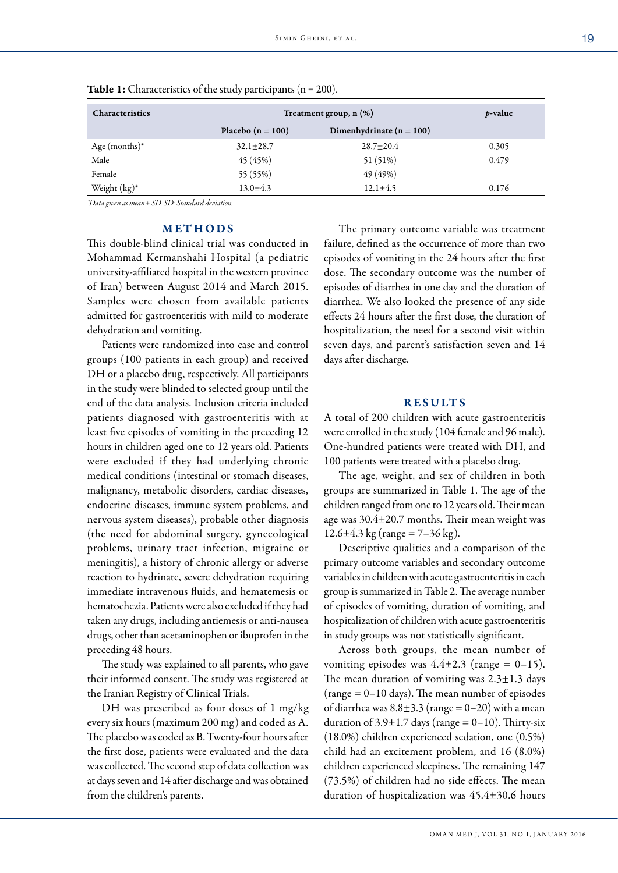| <b>Characteristics</b> | Treatment group, $n$ $(\%)$ | <i>p</i> -value              |       |
|------------------------|-----------------------------|------------------------------|-------|
|                        | Placebo ( $n = 100$ )       | Dimenhydrinate ( $n = 100$ ) |       |
| Age (months) $*$       | $32.1 + 28.7$               | $28.7 + 20.4$                | 0.305 |
| Male                   | 45 (45%)                    | 51 (51%)                     | 0.479 |
| Female                 | 55 (55%)                    | 49 (49%)                     |       |
| Weight (kg)*           | $13.0 \pm 4.3$              | $12.1 \pm 4.5$               | 0.176 |

|  | Table 1: Characteristics of the study participants $(n = 200)$ . |  |  |  |
|--|------------------------------------------------------------------|--|--|--|
|--|------------------------------------------------------------------|--|--|--|

*\*Data given as mean ± SD. SD: Standard deviation.*

## METHODS

This double-blind clinical trial was conducted in Mohammad Kermanshahi Hospital (a pediatric university-affiliated hospital in the western province of Iran) between August 2014 and March 2015. Samples were chosen from available patients admitted for gastroenteritis with mild to moderate dehydration and vomiting.

Patients were randomized into case and control groups (100 patients in each group) and received DH or a placebo drug, respectively. All participants in the study were blinded to selected group until the end of the data analysis. Inclusion criteria included patients diagnosed with gastroenteritis with at least five episodes of vomiting in the preceding 12 hours in children aged one to 12 years old. Patients were excluded if they had underlying chronic medical conditions (intestinal or stomach diseases, malignancy, metabolic disorders, cardiac diseases, endocrine diseases, immune system problems, and nervous system diseases), probable other diagnosis (the need for abdominal surgery, gynecological problems, urinary tract infection, migraine or meningitis), a history of chronic allergy or adverse reaction to hydrinate, severe dehydration requiring immediate intravenous fluids, and hematemesis or hematochezia. Patients were also excluded if they had taken any drugs, including antiemesis or anti-nausea drugs, other than acetaminophen or ibuprofen in the preceding 48 hours.

The study was explained to all parents, who gave their informed consent. The study was registered at the Iranian Registry of Clinical Trials.

DH was prescribed as four doses of 1 mg/kg every six hours (maximum 200 mg) and coded as A. The placebo was coded as B. Twenty-four hours after the first dose, patients were evaluated and the data was collected. The second step of data collection was at days seven and 14 after discharge and was obtained from the children's parents.

The primary outcome variable was treatment failure, defined as the occurrence of more than two episodes of vomiting in the 24 hours after the first dose. The secondary outcome was the number of episodes of diarrhea in one day and the duration of diarrhea. We also looked the presence of any side effects 24 hours after the first dose, the duration of hospitalization, the need for a second visit within seven days, and parent's satisfaction seven and 14 days after discharge.

## RESULTS

A total of 200 children with acute gastroenteritis were enrolled in the study (104 female and 96 male). One-hundred patients were treated with DH, and 100 patients were treated with a placebo drug.

The age, weight, and sex of children in both groups are summarized in Table 1. The age of the children ranged from one to 12 years old. Their mean age was 30.4±20.7 months. Their mean weight was  $12.6 \pm 4.3$  kg (range = 7–36 kg).

Descriptive qualities and a comparison of the primary outcome variables and secondary outcome variables in children with acute gastroenteritis in each group is summarized in Table 2. The average number of episodes of vomiting, duration of vomiting, and hospitalization of children with acute gastroenteritis in study groups was not statistically significant.

Across both groups, the mean number of vomiting episodes was  $4.4 \pm 2.3$  (range = 0–15). The mean duration of vomiting was 2.3±1.3 days  $(range = 0-10 \, days)$ . The mean number of episodes of diarrhea was  $8.8 \pm 3.3$  (range = 0–20) with a mean duration of  $3.9 \pm 1.7$  days (range = 0–10). Thirty-six (18.0%) children experienced sedation, one (0.5%) child had an excitement problem, and 16 (8.0%) children experienced sleepiness. The remaining 147 (73.5%) of children had no side effects. The mean duration of hospitalization was 45.4±30.6 hours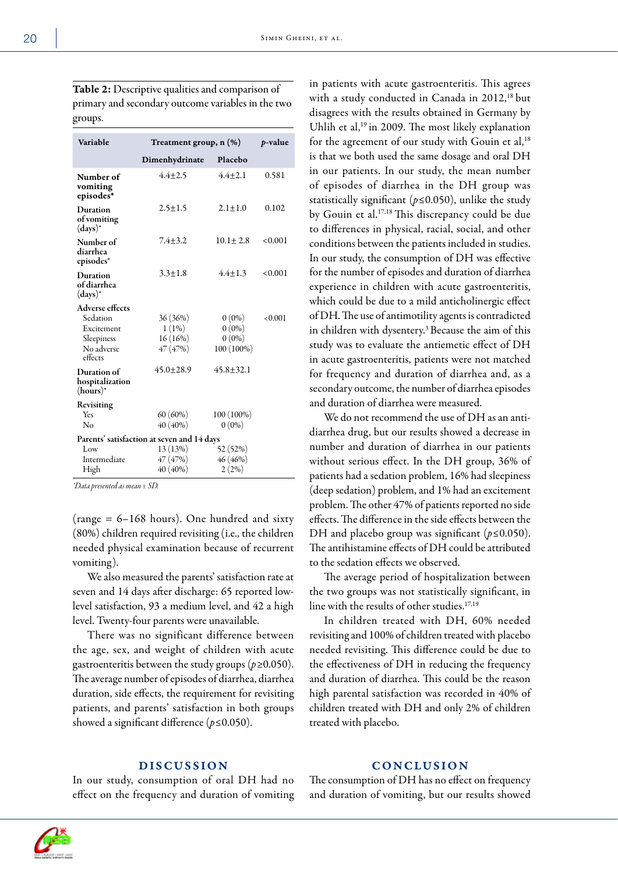Table 2: Descriptive qualities and comparison of primary and secondary outcome variables in the two groups.

| Placebo<br>Dimenhydrinate<br>$4.4 + 2.5$<br>$4.4 + 2.1$<br>0.581<br>Number of<br>vomiting<br>episodes*<br>$2.1 + 1.0$<br>0.102<br>$2.5 \pm 1.5$<br>Duration<br>of vomiting<br>$(days)*$<br>$7.4 + 3.2$<br>$10.1 \pm 2.8$<br>< 0.001<br>Number of<br>diarrhea<br>episodes*<br>$4.4 + 1.3$<br>$3.3 \pm 1.8$<br>< 0.001<br>Duration<br>of diarrhea<br>$(days)*$<br><b>Adverse effects</b><br>Sedation<br>$36(36\%)$<br>$0(0\%)$<br>< 0.001<br>$0(0\%)$<br>$1(1\%)$<br>Excitement<br>$0(0\%)$<br>$16(16\%)$<br>Sleepiness<br>No adverse<br>47 (47%)<br>100 (100%)<br>effects<br>$45.0 \pm 28.9$<br>$45.8 \pm 32.1$<br>Duration of<br>hospitalization<br>$(hours)*$<br>Revisiting<br>$60(60\%)$<br>Yes<br>$100(100\%)$<br>40 (40%)<br>$0(0\%)$<br>No<br>Parents' satisfaction at seven and 14 days<br>13 (13%)<br>52 (52%)<br>Low<br>Intermediate<br>47 (47%)<br>46 (46%)<br>40 (40%)<br>2(2%)<br>High | Variable | Treatment group, n (%) | p-value |  |  |  |  |
|---------------------------------------------------------------------------------------------------------------------------------------------------------------------------------------------------------------------------------------------------------------------------------------------------------------------------------------------------------------------------------------------------------------------------------------------------------------------------------------------------------------------------------------------------------------------------------------------------------------------------------------------------------------------------------------------------------------------------------------------------------------------------------------------------------------------------------------------------------------------------------------------------|----------|------------------------|---------|--|--|--|--|
|                                                                                                                                                                                                                                                                                                                                                                                                                                                                                                                                                                                                                                                                                                                                                                                                                                                                                                   |          |                        |         |  |  |  |  |
|                                                                                                                                                                                                                                                                                                                                                                                                                                                                                                                                                                                                                                                                                                                                                                                                                                                                                                   |          |                        |         |  |  |  |  |
|                                                                                                                                                                                                                                                                                                                                                                                                                                                                                                                                                                                                                                                                                                                                                                                                                                                                                                   |          |                        |         |  |  |  |  |
|                                                                                                                                                                                                                                                                                                                                                                                                                                                                                                                                                                                                                                                                                                                                                                                                                                                                                                   |          |                        |         |  |  |  |  |
|                                                                                                                                                                                                                                                                                                                                                                                                                                                                                                                                                                                                                                                                                                                                                                                                                                                                                                   |          |                        |         |  |  |  |  |
|                                                                                                                                                                                                                                                                                                                                                                                                                                                                                                                                                                                                                                                                                                                                                                                                                                                                                                   |          |                        |         |  |  |  |  |
|                                                                                                                                                                                                                                                                                                                                                                                                                                                                                                                                                                                                                                                                                                                                                                                                                                                                                                   |          |                        |         |  |  |  |  |
|                                                                                                                                                                                                                                                                                                                                                                                                                                                                                                                                                                                                                                                                                                                                                                                                                                                                                                   |          |                        |         |  |  |  |  |
|                                                                                                                                                                                                                                                                                                                                                                                                                                                                                                                                                                                                                                                                                                                                                                                                                                                                                                   |          |                        |         |  |  |  |  |
|                                                                                                                                                                                                                                                                                                                                                                                                                                                                                                                                                                                                                                                                                                                                                                                                                                                                                                   |          |                        |         |  |  |  |  |
|                                                                                                                                                                                                                                                                                                                                                                                                                                                                                                                                                                                                                                                                                                                                                                                                                                                                                                   |          |                        |         |  |  |  |  |
|                                                                                                                                                                                                                                                                                                                                                                                                                                                                                                                                                                                                                                                                                                                                                                                                                                                                                                   |          |                        |         |  |  |  |  |
|                                                                                                                                                                                                                                                                                                                                                                                                                                                                                                                                                                                                                                                                                                                                                                                                                                                                                                   |          |                        |         |  |  |  |  |
|                                                                                                                                                                                                                                                                                                                                                                                                                                                                                                                                                                                                                                                                                                                                                                                                                                                                                                   |          |                        |         |  |  |  |  |
|                                                                                                                                                                                                                                                                                                                                                                                                                                                                                                                                                                                                                                                                                                                                                                                                                                                                                                   |          |                        |         |  |  |  |  |
|                                                                                                                                                                                                                                                                                                                                                                                                                                                                                                                                                                                                                                                                                                                                                                                                                                                                                                   |          |                        |         |  |  |  |  |
|                                                                                                                                                                                                                                                                                                                                                                                                                                                                                                                                                                                                                                                                                                                                                                                                                                                                                                   |          |                        |         |  |  |  |  |
|                                                                                                                                                                                                                                                                                                                                                                                                                                                                                                                                                                                                                                                                                                                                                                                                                                                                                                   |          |                        |         |  |  |  |  |

*\*Data presented as mean ± SD.*

(range  $= 6 - 168$  hours). One hundred and sixty (80%) children required revisiting (i.e., the children needed physical examination because of recurrent vomiting).

We also measured the parents' satisfaction rate at seven and 14 days after discharge: 65 reported lowlevel satisfaction, 93 a medium level, and 42 a high level. Twenty-four parents were unavailable.

There was no significant difference between the age, sex, and weight of children with acute gastroenteritis between the study groups (*p≥*0.050). The average number of episodes of diarrhea, diarrhea duration, side effects, the requirement for revisiting patients, and parents' satisfaction in both groups showed a significant difference (*p≤*0.050).

in patients with acute gastroenteritis. This agrees with a study conducted in Canada in 2012,<sup>18</sup> but disagrees with the results obtained in Germany by Uhlih et al,<sup>19</sup> in 2009. The most likely explanation for the agreement of our study with Gouin et al,<sup>18</sup> is that we both used the same dosage and oral DH in our patients. In our study, the mean number of episodes of diarrhea in the DH group was statistically significant (*p≤*0.050), unlike the study by Gouin et al.17,18 This discrepancy could be due to differences in physical, racial, social, and other conditions between the patients included in studies. In our study, the consumption of DH was effective for the number of episodes and duration of diarrhea experience in children with acute gastroenteritis, which could be due to a mild anticholinergic effect of DH. The use of antimotility agents is contradicted in children with dysentery.<sup>3</sup> Because the aim of this study was to evaluate the antiemetic effect of DH in acute gastroenteritis, patients were not matched for frequency and duration of diarrhea and, as a secondary outcome, the number of diarrhea episodes and duration of diarrhea were measured.

We do not recommend the use of DH as an antidiarrhea drug, but our results showed a decrease in number and duration of diarrhea in our patients without serious effect. In the DH group, 36% of patients had a sedation problem, 16% had sleepiness (deep sedation) problem, and 1% had an excitement problem. The other 47% of patients reported no side effects. The difference in the side effects between the DH and placebo group was significant (*p≤*0.050). The antihistamine effects of DH could be attributed to the sedation effects we observed.

The average period of hospitalization between the two groups was not statistically significant, in line with the results of other studies.<sup>17,19</sup>

In children treated with DH, 60% needed revisiting and 100% of children treated with placebo needed revisiting. This difference could be due to the effectiveness of DH in reducing the frequency and duration of diarrhea. This could be the reason high parental satisfaction was recorded in 40% of children treated with DH and only 2% of children treated with placebo.

## **DISCUSSION**

In our study, consumption of oral DH had no effect on the frequency and duration of vomiting

## CONCLUSION

The consumption of DH has no effect on frequency and duration of vomiting, but our results showed